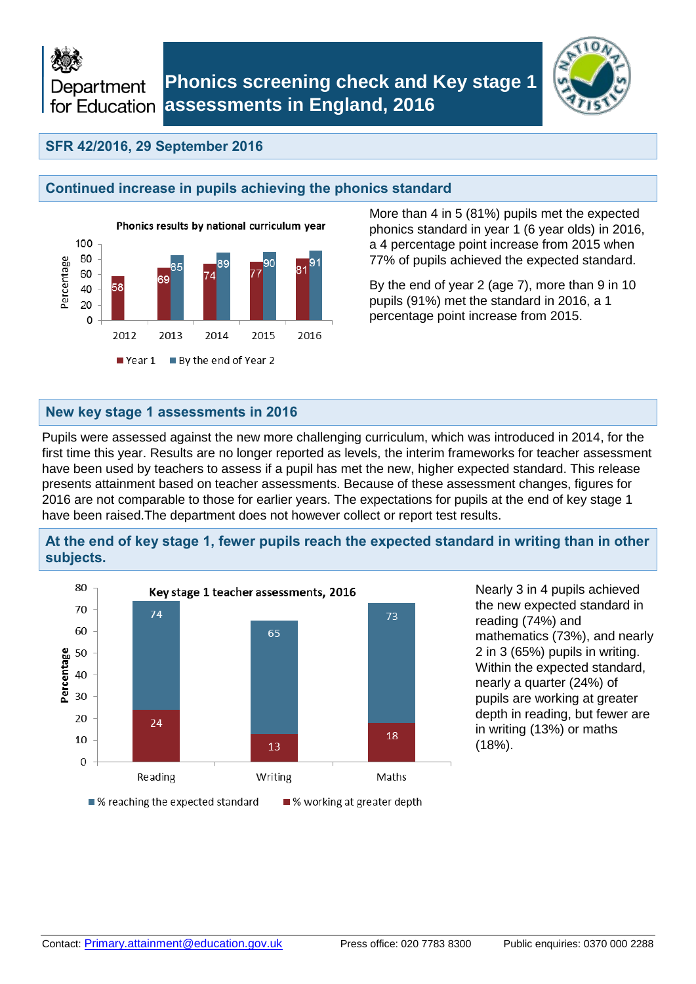Department for Education



## **SFR 42/2016, 29 September 2016**

## **Continued increase in pupils achieving the phonics standard**



More than 4 in 5 (81%) pupils met the expected phonics standard in year 1 (6 year olds) in 2016, a 4 percentage point increase from 2015 when 77% of pupils achieved the expected standard.

By the end of year 2 (age 7), more than 9 in 10 pupils (91%) met the standard in 2016, a 1 percentage point increase from 2015.

### **New key stage 1 assessments in 2016**

Pupils were assessed against the new more challenging curriculum, which was introduced in 2014, for the first time this year. Results are no longer reported as levels, the interim frameworks for teacher assessment have been used by teachers to assess if a pupil has met the new, higher expected standard. This release presents attainment based on teacher assessments. Because of these assessment changes, figures for 2016 are not comparable to those for earlier years. The expectations for pupils at the end of key stage 1 have been raised.The department does not however collect or report test results.

## **At the end of key stage 1, fewer pupils reach the expected standard in writing than in other subjects.**



Nearly 3 in 4 pupils achieved the new expected standard in reading (74%) and mathematics (73%), and nearly 2 in 3 (65%) pupils in writing. Within the expected standard, nearly a quarter (24%) of pupils are working at greater depth in reading, but fewer are in writing (13%) or maths (18%).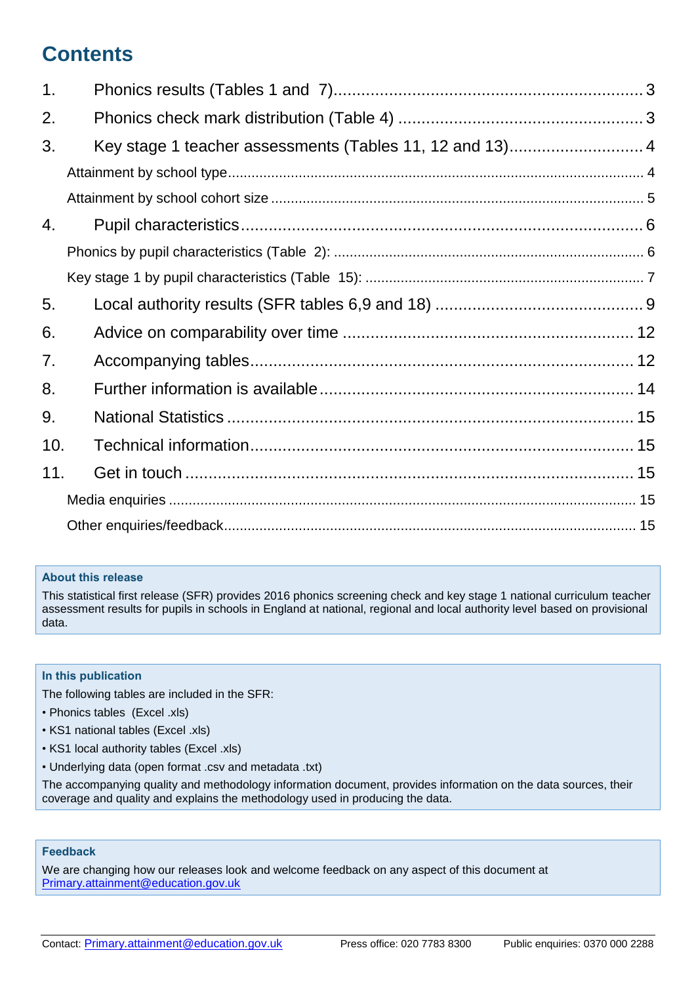# **Contents**

| 1.  |  |
|-----|--|
| 2.  |  |
| 3.  |  |
|     |  |
|     |  |
| 4.  |  |
|     |  |
|     |  |
| 5.  |  |
| 6.  |  |
| 7.  |  |
| 8.  |  |
| 9.  |  |
| 10. |  |
| 11. |  |
|     |  |
|     |  |

### **About this release**

This statistical first release (SFR) provides 2016 phonics screening check and key stage 1 national curriculum teacher assessment results for pupils in schools in England at national, regional and local authority level based on provisional data.

### **In this publication**

The following tables are included in the SFR:

- Phonics tables (Excel .xls)
- KS1 national tables (Excel .xls)
- KS1 local authority tables (Excel .xls)
- Underlying data (open format .csv and metadata .txt)

The accompanying quality and methodology information document, provides information on the data sources, their coverage and quality and explains the methodology used in producing the data.

### **Feedback**

We are changing how our releases look and welcome feedback on any aspect of this document at [Primary.attainment@education.gov.uk](mailto:Primary.attainment@education.gov.uk)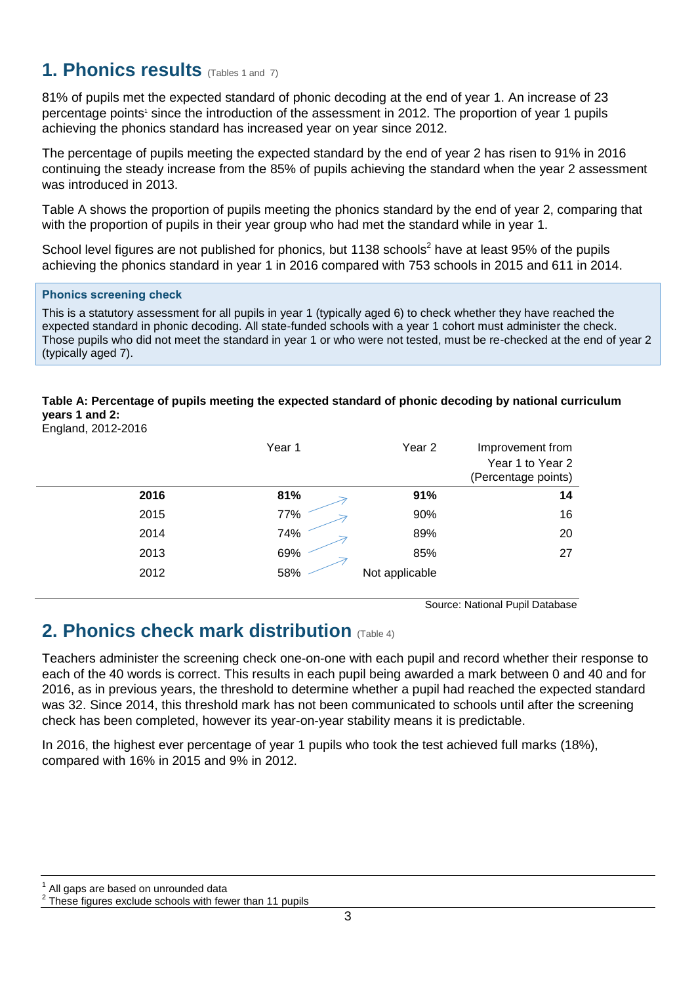# <span id="page-2-0"></span>**1. Phonics results** (Tables 1 and 7)

81% of pupils met the expected standard of phonic decoding at the end of year 1. An increase of 23 percentage points<sup>1</sup> since the introduction of the assessment in 2012. The proportion of year 1 pupils achieving the phonics standard has increased year on year since 2012.

The percentage of pupils meeting the expected standard by the end of year 2 has risen to 91% in 2016 continuing the steady increase from the 85% of pupils achieving the standard when the year 2 assessment was introduced in 2013.

Table A shows the proportion of pupils meeting the phonics standard by the end of year 2, comparing that with the proportion of pupils in their year group who had met the standard while in year 1.

School level figures are not published for phonics, but 1138 schools<sup>2</sup> have at least 95% of the pupils achieving the phonics standard in year 1 in 2016 compared with 753 schools in 2015 and 611 in 2014.

### **Phonics screening check**

This is a statutory assessment for all pupils in year 1 (typically aged 6) to check whether they have reached the expected standard in phonic decoding. All state-funded schools with a year 1 cohort must administer the check. Those pupils who did not meet the standard in year 1 or who were not tested, must be re-checked at the end of year 2 (typically aged 7).

### **Table A: Percentage of pupils meeting the expected standard of phonic decoding by national curriculum years 1 and 2:**

England, 2012-2016

|      | Year 1 | Year <sub>2</sub> | Improvement from<br>Year 1 to Year 2<br>(Percentage points) |
|------|--------|-------------------|-------------------------------------------------------------|
| 2016 | 81%    | 91%               | 14                                                          |
| 2015 | 77%    | 90%               | 16                                                          |
| 2014 | 74%    | 89%               | 20                                                          |
| 2013 | 69%    | 85%               | 27                                                          |
| 2012 | 58%    | Not applicable    |                                                             |

Source: National Pupil Database

# <span id="page-2-1"></span>**2. Phonics check mark distribution** (Table 4)

Teachers administer the screening check one-on-one with each pupil and record whether their response to each of the 40 words is correct. This results in each pupil being awarded a mark between 0 and 40 and for 2016, as in previous years, the threshold to determine whether a pupil had reached the expected standard was 32. Since 2014, this threshold mark has not been communicated to schools until after the screening check has been completed, however its year-on-year stability means it is predictable.

In 2016, the highest ever percentage of year 1 pupils who took the test achieved full marks (18%), compared with 16% in 2015 and 9% in 2012.

1 All gaps are based on unrounded data

<sup>2</sup> These figures exclude schools with fewer than 11 pupils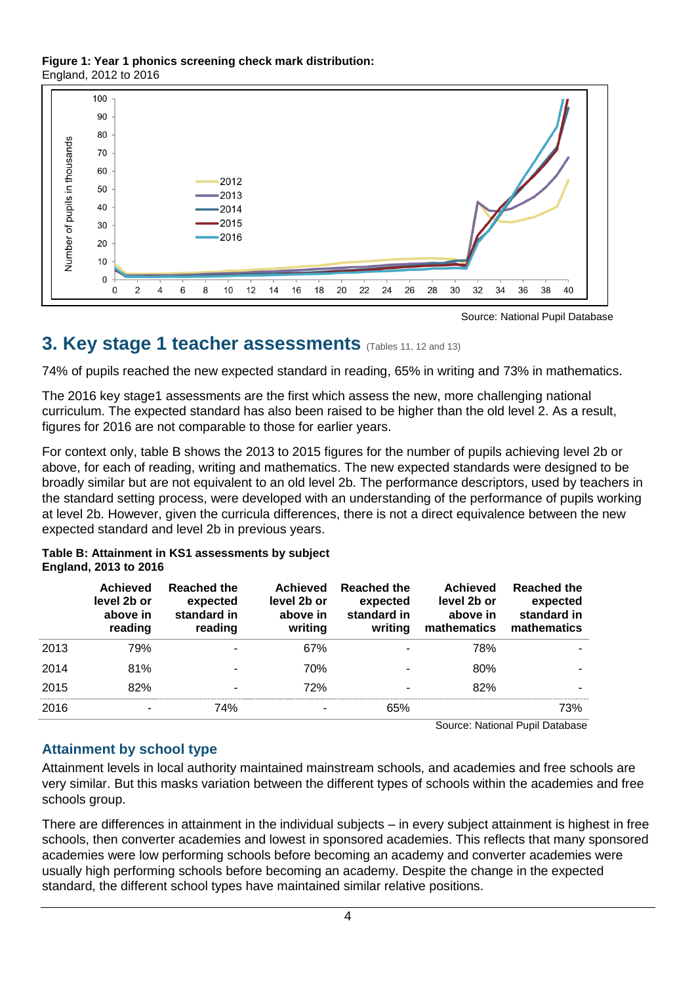### **Figure 1: Year 1 phonics screening check mark distribution:** England, 2012 to 2016





# <span id="page-3-0"></span>**3. Key stage 1 teacher assessments** (Tables 11, 12 and 13)

74% of pupils reached the new expected standard in reading, 65% in writing and 73% in mathematics.

The 2016 key stage1 assessments are the first which assess the new, more challenging national curriculum. The expected standard has also been raised to be higher than the old level 2. As a result, figures for 2016 are not comparable to those for earlier years. ىس.<br>.

For context only, table B shows the 2013 to 2015 figures for the number of pupils achieving level 2b or above, for each of reading, writing and mathematics. The new expected standards were designed to be broadly similar but are not equivalent to an old level 2b. The performance descriptors, used by teachers in 10 the standard setting process, were developed with an understanding of the performance of pupils working at level 2b. However, given the curricula differences, there is not a direct equivalence between the new expected standard and level 2b in previous years. However, given the curricula differences, there is not a direct equivalence between the %<br>e ;<br>uri<br>pr c<br>pai

### **Table B: Attainment in KS1 assessments by subject England, 2013 to 2016**

|      | <b>Achieved</b><br>level 2b or<br>above in<br>reading | <b>Reached the</b><br>expected<br>standard in<br>reading | <b>Achieved</b><br>level 2b or<br>above in<br>writing | <b>Reached the</b><br>expected<br>standard in<br>writing | <b>Achieved</b><br>level 2b or<br>above in<br>mathematics | <b>Reached the</b><br>expected<br>standard in<br>mathematics |
|------|-------------------------------------------------------|----------------------------------------------------------|-------------------------------------------------------|----------------------------------------------------------|-----------------------------------------------------------|--------------------------------------------------------------|
| 2013 | 79%                                                   | ٠                                                        | 67%                                                   |                                                          | 78%                                                       |                                                              |
| 2014 | 81%                                                   | ٠                                                        | 70%                                                   |                                                          | 80%                                                       |                                                              |
| 2015 | 82%                                                   | ٠                                                        | 72%                                                   |                                                          | 82%                                                       |                                                              |
| 2016 |                                                       | 74%                                                      |                                                       | 65%                                                      |                                                           | 73%                                                          |

Source: National Pupil Database

# <span id="page-3-1"></span>**Attainment by school type**

Attainment levels in local authority maintained mainstream schools, and academies and free schools are very similar. But this masks variation between the different types of schools within the academies and free schools group.

There are differences in attainment in the individual subjects – in every subject attainment is highest in free schools, then converter academies and lowest in sponsored academies. This reflects that many sponsored academies were low performing schools before becoming an academy and converter academies were usually high performing schools before becoming an academy. Despite the change in the expected standard, the different school types have maintained similar relative positions.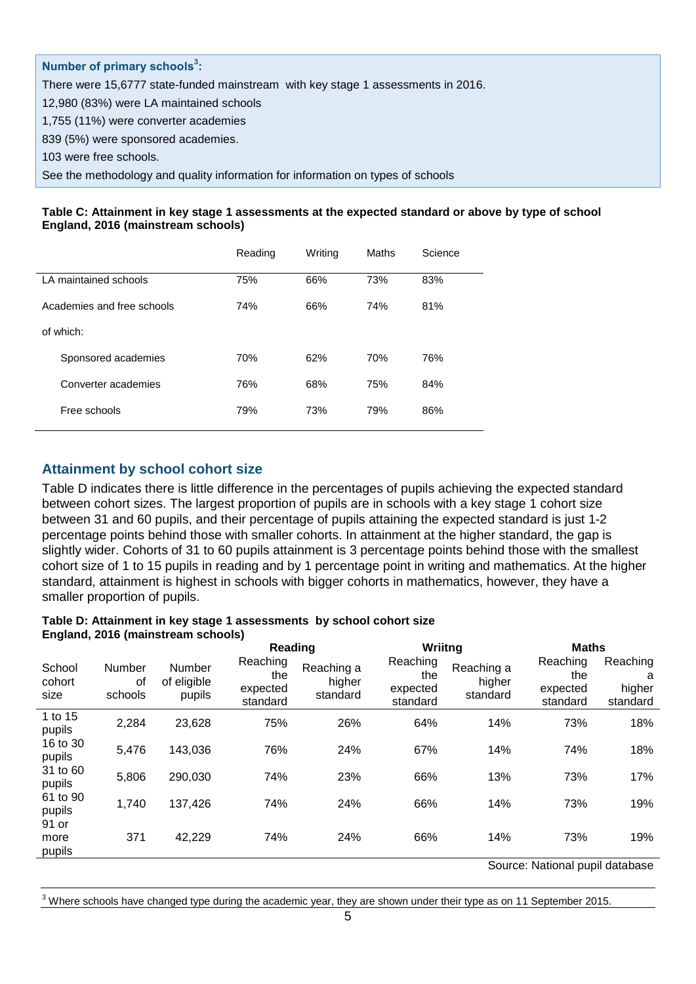## **Number of primary schools<sup>3</sup> :**

There were 15,6777 state-funded mainstream with key stage 1 assessments in 2016.

12,980 (83%) were LA maintained schools

1,755 (11%) were converter academies

839 (5%) were sponsored academies.

103 were free schools.

See the methodology and quality information for information on types of schools

#### **Table C: Attainment in key stage 1 assessments at the expected standard or above by type of school England, 2016 (mainstream schools)**

|                            |                       | Reading | Writing | Maths | Science |
|----------------------------|-----------------------|---------|---------|-------|---------|
|                            | LA maintained schools | 75%     | 66%     | 73%   | 83%     |
| Academies and free schools |                       | 74%     | 66%     | 74%   | 81%     |
| of which:                  |                       |         |         |       |         |
|                            | Sponsored academies   | 70%     | 62%     | 70%   | 76%     |
|                            | Converter academies   | 76%     | 68%     | 75%   | 84%     |
|                            | Free schools          | 79%     | 73%     | 79%   | 86%     |
|                            |                       |         |         |       |         |

### <span id="page-4-0"></span>**Attainment by school cohort size**

Table D indicates there is little difference in the percentages of pupils achieving the expected standard between cohort sizes. The largest proportion of pupils are in schools with a key stage 1 cohort size between 31 and 60 pupils, and their percentage of pupils attaining the expected standard is just 1-2 percentage points behind those with smaller cohorts. In attainment at the higher standard, the gap is slightly wider. Cohorts of 31 to 60 pupils attainment is 3 percentage points behind those with the smallest cohort size of 1 to 15 pupils in reading and by 1 percentage point in writing and mathematics. At the higher standard, attainment is highest in schools with bigger cohorts in mathematics, however, they have a smaller proportion of pupils.

### **Table D: Attainment in key stage 1 assessments by school cohort size England, 2016 (mainstream schools)**

|                          |                         |                                        | Reading                                 |                                  | Wriitng                                 |                                  | <b>Maths</b>                            |                                     |
|--------------------------|-------------------------|----------------------------------------|-----------------------------------------|----------------------------------|-----------------------------------------|----------------------------------|-----------------------------------------|-------------------------------------|
| School<br>cohort<br>size | Number<br>οf<br>schools | <b>Number</b><br>of eligible<br>pupils | Reaching<br>the<br>expected<br>standard | Reaching a<br>higher<br>standard | Reaching<br>the<br>expected<br>standard | Reaching a<br>higher<br>standard | Reaching<br>the<br>expected<br>standard | Reaching<br>a<br>higher<br>standard |
| 1 to 15<br>pupils        | 2,284                   | 23,628                                 | 75%                                     | 26%                              | 64%                                     | 14%                              | 73%                                     | 18%                                 |
| 16 to 30<br>pupils       | 5,476                   | 143,036                                | 76%                                     | 24%                              | 67%                                     | 14%                              | 74%                                     | 18%                                 |
| 31 to 60<br>pupils       | 5,806                   | 290,030                                | 74%                                     | 23%                              | 66%                                     | 13%                              | 73%                                     | 17%                                 |
| 61 to 90<br>pupils       | 1,740                   | 137,426                                | 74%                                     | 24%                              | 66%                                     | 14%                              | 73%                                     | 19%                                 |
| 91 or<br>more<br>pupils  | 371                     | 42,229                                 | 74%                                     | 24%                              | 66%                                     | 14%                              | 73%                                     | 19%                                 |
|                          |                         |                                        |                                         |                                  |                                         |                                  | Course Notional pupil database          |                                     |

Source: National pupil database

Where schools have changed type during the academic year, they are shown under their type as on 11 September 2015.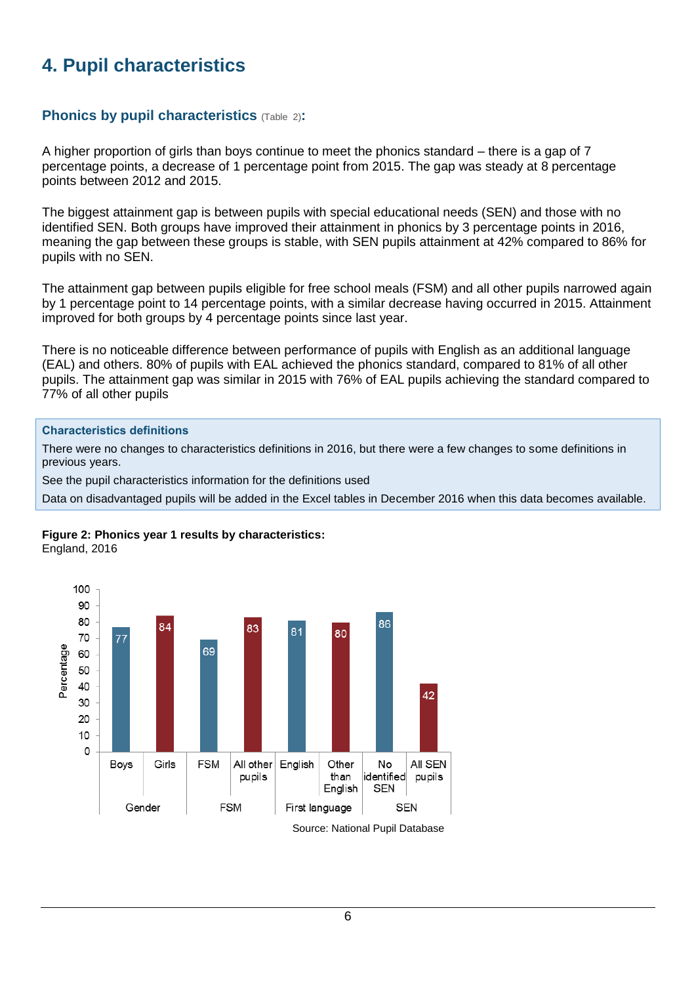# <span id="page-5-0"></span>**4. Pupil characteristics**

## <span id="page-5-1"></span>**Phonics by pupil characteristics** (Table 2):

A higher proportion of girls than boys continue to meet the phonics standard – there is a gap of 7 percentage points, a decrease of 1 percentage point from 2015. The gap was steady at 8 percentage points between 2012 and 2015.

The biggest attainment gap is between pupils with special educational needs (SEN) and those with no identified SEN. Both groups have improved their attainment in phonics by 3 percentage points in 2016, meaning the gap between these groups is stable, with SEN pupils attainment at 42% compared to 86% for pupils with no SEN.

The attainment gap between pupils eligible for free school meals (FSM) and all other pupils narrowed again by 1 percentage point to 14 percentage points, with a similar decrease having occurred in 2015. Attainment improved for both groups by 4 percentage points since last year.

There is no noticeable difference between performance of pupils with English as an additional language (EAL) and others. 80% of pupils with EAL achieved the phonics standard, compared to 81% of all other pupils. The attainment gap was similar in 2015 with 76% of EAL pupils achieving the standard compared to 77% of all other pupils

### **Characteristics definitions**

There were no changes to characteristics definitions in 2016, but there were a few changes to some definitions in previous years.

See the pupil characteristics information for the definitions used

Data on disadvantaged pupils will be added in the Excel tables in December 2016 when this data becomes available.

# **Figure 2: Phonics year 1 results by characteristics:**

England, 2016

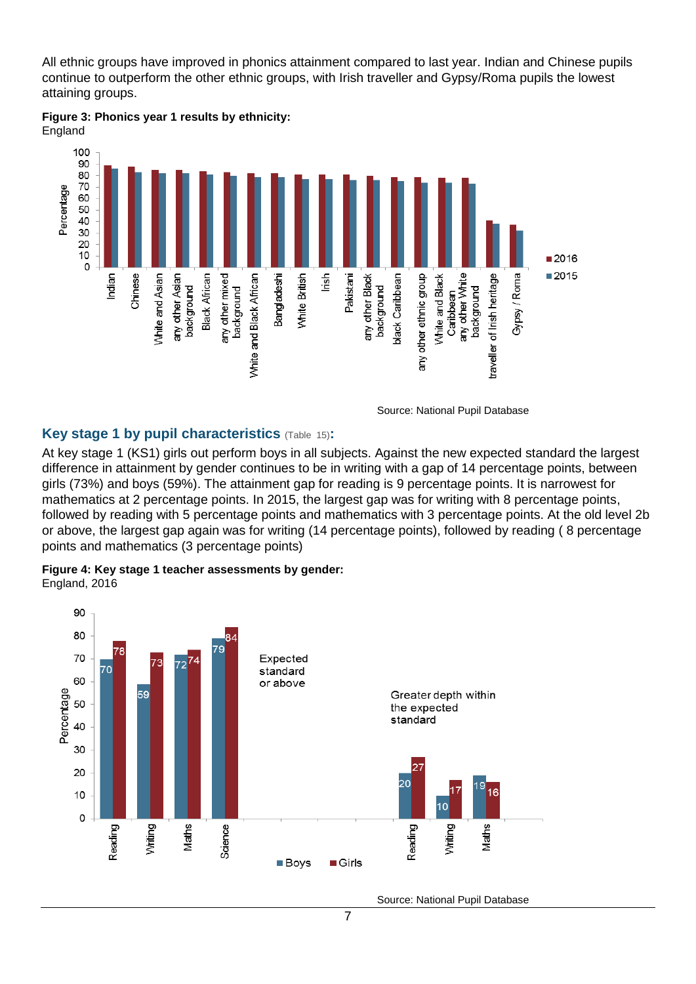All ethnic groups have improved in phonics attainment compared to last year. Indian and Chinese pupils continue to outperform the other ethnic groups, with Irish traveller and Gypsy/Roma pupils the lowest attaining groups.



**Figure 3: Phonics year 1 results by ethnicity:** England

Source: National Pupil Database

## <span id="page-6-0"></span>**Key stage 1 by pupil characteristics** (Table 15)**:**

At key stage 1 (KS1) girls out perform boys in all subjects. Against the new expected standard the largest difference in attainment by gender continues to be in writing with a gap of 14 percentage points, between girls (73%) and boys (59%). The attainment gap for reading is 9 percentage points. It is narrowest for mathematics at 2 percentage points. In 2015, the largest gap was for writing with 8 percentage points, followed by reading with 5 percentage points and mathematics with 3 percentage points. At the old level 2b or above, the largest gap again was for writing (14 percentage points), followed by reading ( 8 percentage points and mathematics (3 percentage points)



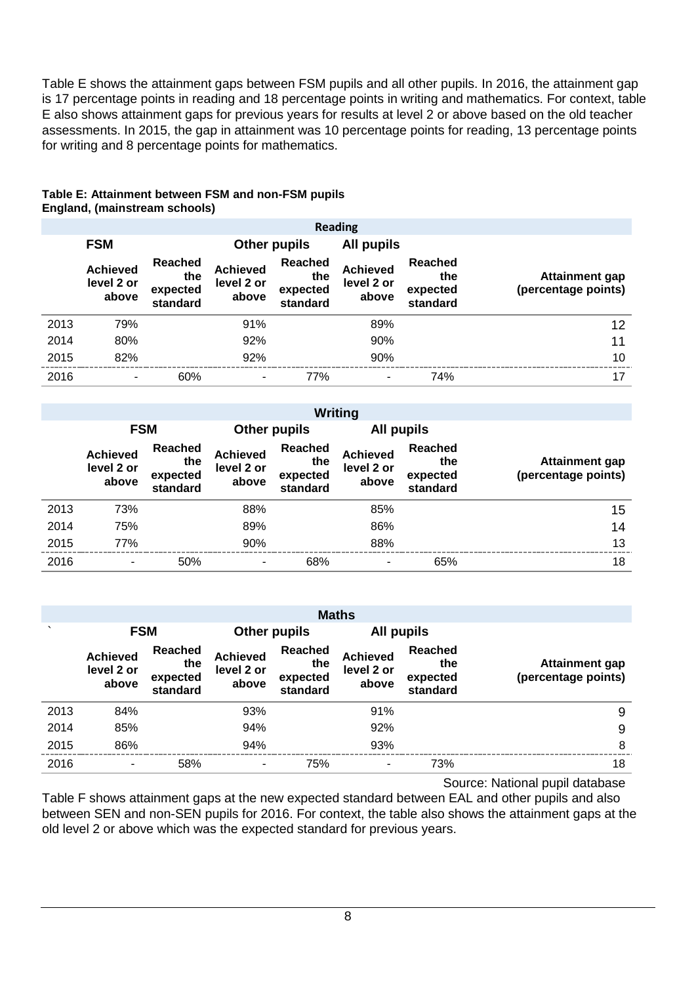Table E shows the attainment gaps between FSM pupils and all other pupils. In 2016, the attainment gap is 17 percentage points in reading and 18 percentage points in writing and mathematics. For context, table E also shows attainment gaps for previous years for results at level 2 or above based on the old teacher assessments. In 2015, the gap in attainment was 10 percentage points for reading, 13 percentage points for writing and 8 percentage points for mathematics.

### **Table E: Attainment between FSM and non-FSM pupils England, (mainstream schools)**

|      | <b>Reading</b>                         |                                               |                                        |                                               |                                        |                                        |                                       |
|------|----------------------------------------|-----------------------------------------------|----------------------------------------|-----------------------------------------------|----------------------------------------|----------------------------------------|---------------------------------------|
|      | <b>FSM</b>                             |                                               |                                        | Other pupils<br>All pupils                    |                                        |                                        |                                       |
|      | <b>Achieved</b><br>level 2 or<br>above | <b>Reached</b><br>the<br>expected<br>standard | <b>Achieved</b><br>level 2 or<br>above | <b>Reached</b><br>the<br>expected<br>standard | <b>Achieved</b><br>level 2 or<br>above | Reached<br>the<br>expected<br>standard | Attainment gap<br>(percentage points) |
| 2013 | 79%                                    |                                               | 91%                                    |                                               | 89%                                    |                                        | 12                                    |
| 2014 | 80%                                    |                                               | 92%                                    |                                               | 90%                                    |                                        | 11                                    |
| 2015 | 82%                                    |                                               | 92%                                    |                                               | 90%                                    |                                        | 10                                    |
| 2016 | ۰                                      | 60%                                           | ٠                                      | 77%                                           | ۰                                      | 74%                                    | 17                                    |

|      | Writing                                |                                        |                                        |                                               |                                        |                                               |                                              |
|------|----------------------------------------|----------------------------------------|----------------------------------------|-----------------------------------------------|----------------------------------------|-----------------------------------------------|----------------------------------------------|
|      |                                        | <b>FSM</b>                             |                                        | Other pupils                                  |                                        | All pupils                                    |                                              |
|      | <b>Achieved</b><br>level 2 or<br>above | Reached<br>the<br>expected<br>standard | <b>Achieved</b><br>level 2 or<br>above | <b>Reached</b><br>the<br>expected<br>standard | <b>Achieved</b><br>level 2 or<br>above | <b>Reached</b><br>the<br>expected<br>standard | <b>Attainment gap</b><br>(percentage points) |
| 2013 | 73%                                    |                                        | 88%                                    |                                               | 85%                                    |                                               | 15                                           |
| 2014 | 75%                                    |                                        | 89%                                    |                                               | 86%                                    |                                               | 14                                           |
| 2015 | 77%                                    |                                        | 90%                                    |                                               | 88%                                    |                                               | 13                                           |
| 2016 | $\overline{\phantom{a}}$               | 50%                                    | ۰                                      | 68%                                           | ۰                                      | 65%                                           | 18                                           |

|         | <b>Maths</b>                           |                                               |                                        |                                               |                                        |                                        |                                              |
|---------|----------------------------------------|-----------------------------------------------|----------------------------------------|-----------------------------------------------|----------------------------------------|----------------------------------------|----------------------------------------------|
| $\cdot$ | <b>FSM</b>                             |                                               | <b>Other pupils</b>                    |                                               | All pupils                             |                                        |                                              |
|         | <b>Achieved</b><br>level 2 or<br>above | <b>Reached</b><br>the<br>expected<br>standard | <b>Achieved</b><br>level 2 or<br>above | <b>Reached</b><br>the<br>expected<br>standard | <b>Achieved</b><br>level 2 or<br>above | Reached<br>the<br>expected<br>standard | <b>Attainment gap</b><br>(percentage points) |
| 2013    | 84%                                    |                                               | 93%                                    |                                               | 91%                                    |                                        | 9                                            |
| 2014    | 85%                                    |                                               | 94%                                    |                                               | 92%                                    |                                        | 9                                            |
| 2015    | 86%                                    |                                               | 94%                                    |                                               | 93%                                    |                                        | 8                                            |
| 2016    | ٠                                      | 58%                                           |                                        | 75%                                           | ۰                                      | 73%                                    | 18                                           |

Source: National pupil database

Table F shows attainment gaps at the new expected standard between EAL and other pupils and also between SEN and non-SEN pupils for 2016. For context, the table also shows the attainment gaps at the old level 2 or above which was the expected standard for previous years.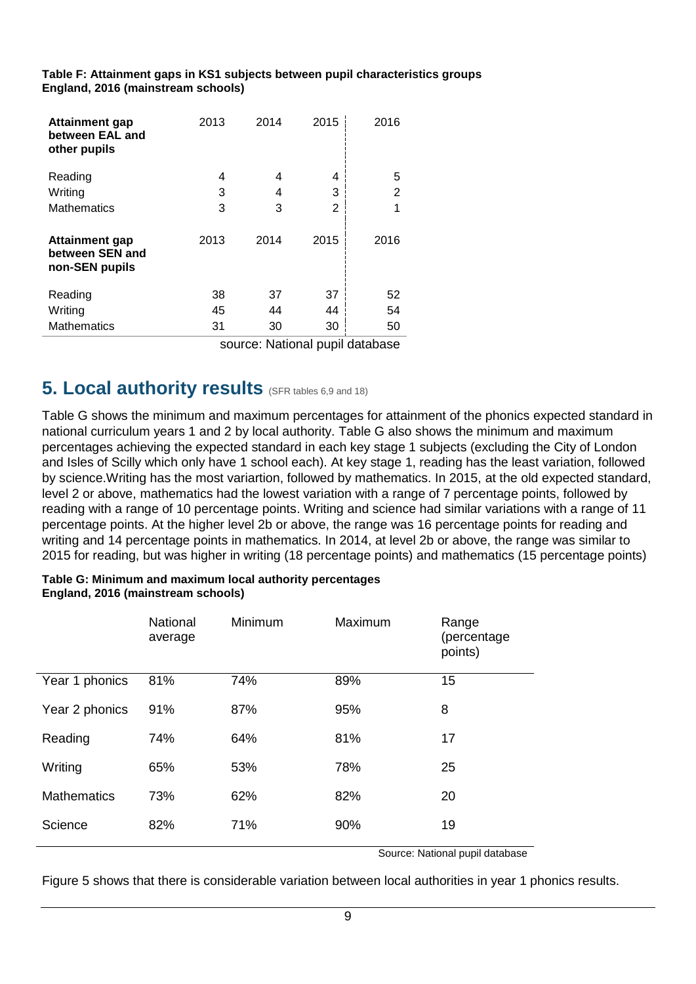**Table F: Attainment gaps in KS1 subjects between pupil characteristics groups England, 2016 (mainstream schools)**

| Attainment gap<br>between EAL and<br>other pupils          | 2013 | 2014 | 2015 | 2016           |
|------------------------------------------------------------|------|------|------|----------------|
| Reading                                                    | 4    | 4    | 4    | 5              |
| Writing                                                    | 3    | 4    | 3    | $\overline{2}$ |
| <b>Mathematics</b>                                         | 3    | 3    | 2    | 1              |
| <b>Attainment gap</b><br>between SEN and<br>non-SEN pupils | 2013 | 2014 | 2015 | 2016           |
| Reading                                                    | 38   | 37   | 37   | 52             |
| Writing                                                    | 45   | 44   | 44   | 54             |
| <b>Mathematics</b>                                         | 31   | 30   | 30   | 50             |
|                                                            |      |      |      |                |

source: National pupil database

## <span id="page-8-0"></span>**5.** Local authority results (SFR tables 6,9 and 18)

Table G shows the minimum and maximum percentages for attainment of the phonics expected standard in national curriculum years 1 and 2 by local authority. Table G also shows the minimum and maximum percentages achieving the expected standard in each key stage 1 subjects (excluding the City of London and Isles of Scilly which only have 1 school each). At key stage 1, reading has the least variation, followed by science.Writing has the most variartion, followed by mathematics. In 2015, at the old expected standard, level 2 or above, mathematics had the lowest variation with a range of 7 percentage points, followed by reading with a range of 10 percentage points. Writing and science had similar variations with a range of 11 percentage points. At the higher level 2b or above, the range was 16 percentage points for reading and writing and 14 percentage points in mathematics. In 2014, at level 2b or above, the range was similar to 2015 for reading, but was higher in writing (18 percentage points) and mathematics (15 percentage points)

### **Table G: Minimum and maximum local authority percentages England, 2016 (mainstream schools)**

|                    | National<br>average | Minimum | Maximum | Range<br>(percentage)<br>points) |
|--------------------|---------------------|---------|---------|----------------------------------|
| Year 1 phonics     | 81%                 | 74%     | 89%     | 15                               |
| Year 2 phonics     | 91%                 | 87%     | 95%     | 8                                |
| Reading            | 74%                 | 64%     | 81%     | 17                               |
| Writing            | 65%                 | 53%     | 78%     | 25                               |
| <b>Mathematics</b> | 73%                 | 62%     | 82%     | 20                               |
| Science            | 82%                 | 71%     | 90%     | 19                               |

Source: National pupil database

Figure 5 shows that there is considerable variation between local authorities in year 1 phonics results.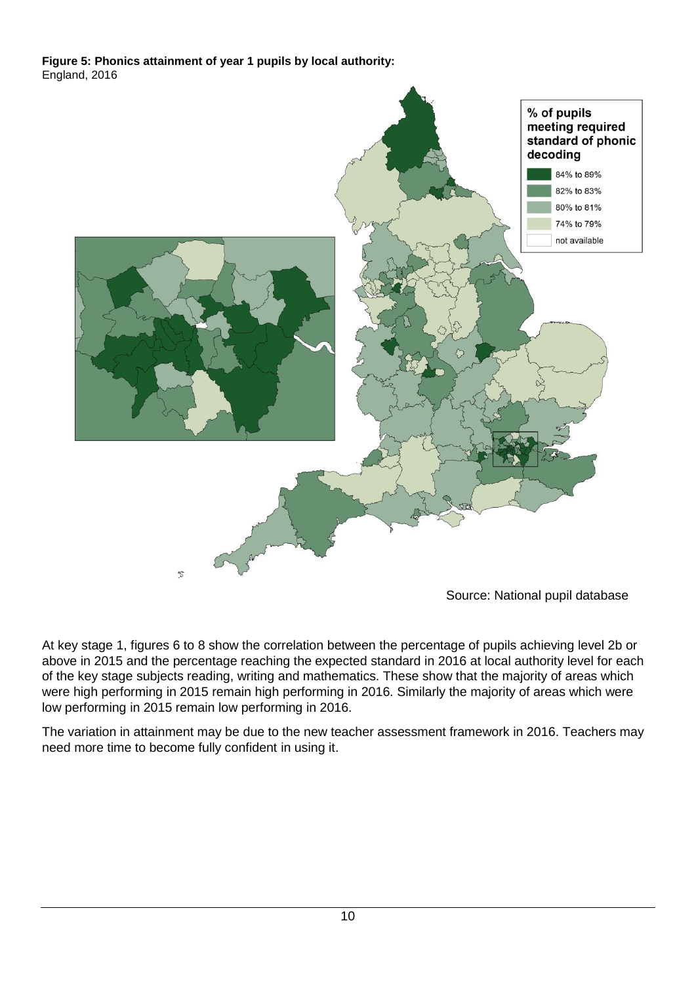## **Figure 5: Phonics attainment of year 1 pupils by local authority:** England, 2016



Source: National pupil database

At key stage 1, figures 6 to 8 show the correlation between the percentage of pupils achieving level 2b or above in 2015 and the percentage reaching the expected standard in 2016 at local authority level for each of the key stage subjects reading, writing and mathematics. These show that the majority of areas which were high performing in 2015 remain high performing in 2016. Similarly the majority of areas which were low performing in 2015 remain low performing in 2016.

The variation in attainment may be due to the new teacher assessment framework in 2016. Teachers may need more time to become fully confident in using it.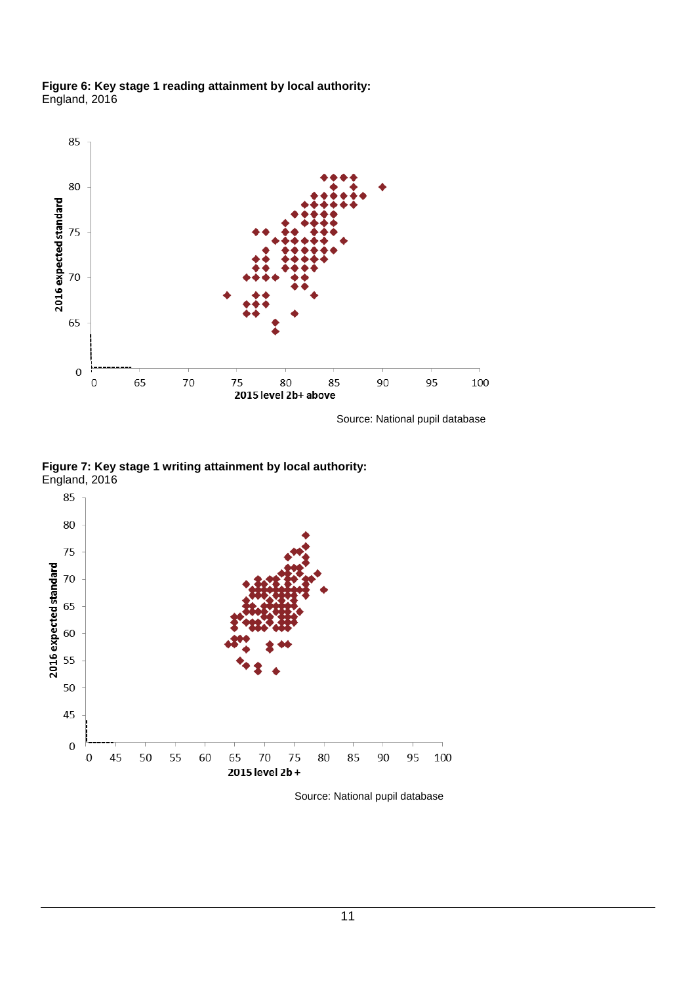**Figure 6: Key stage 1 reading attainment by local authority:** England, 2016



Source: National pupil database

**Figure 7: Key stage 1 writing attainment by local authority:** England, 2016



Source: National pupil database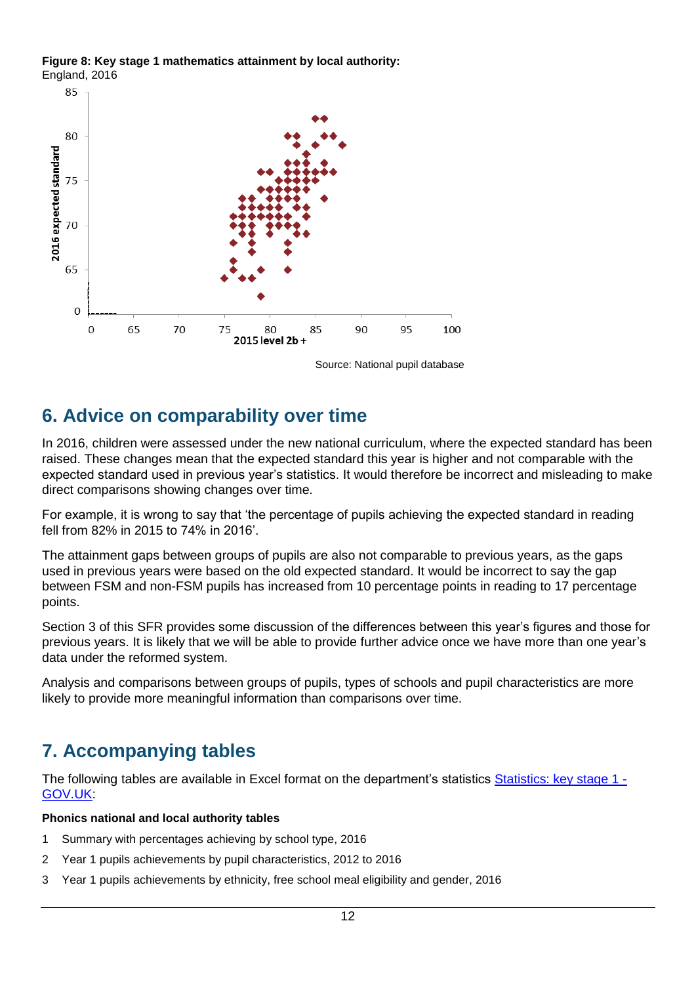



Source: National pupil database

# <span id="page-11-0"></span>**6. Advice on comparability over time**

In 2016, children were assessed under the new national curriculum, where the expected standard has been raised. These changes mean that the expected standard this year is higher and not comparable with the expected standard used in previous year's statistics. It would therefore be incorrect and misleading to make direct comparisons showing changes over time.

For example, it is wrong to say that 'the percentage of pupils achieving the expected standard in reading fell from 82% in 2015 to 74% in 2016'.

The attainment gaps between groups of pupils are also not comparable to previous years, as the gaps used in previous years were based on the old expected standard. It would be incorrect to say the gap between FSM and non-FSM pupils has increased from 10 percentage points in reading to 17 percentage points.

Section 3 of this SFR provides some discussion of the differences between this year's figures and those for previous years. It is likely that we will be able to provide further advice once we have more than one year's data under the reformed system.

Analysis and comparisons between groups of pupils, types of schools and pupil characteristics are more likely to provide more meaningful information than comparisons over time.

# <span id="page-11-1"></span>**7. Accompanying tables**

The following tables are available in Excel format on the department's statistics [Statistics: key stage 1 -](https://www.gov.uk/government/collections/statistics-key-stage-1) [GOV.UK:](https://www.gov.uk/government/collections/statistics-key-stage-1)

## **Phonics national and local authority tables**

- 1 Summary with percentages achieving by school type, 2016
- 2 Year 1 pupils achievements by pupil characteristics, 2012 to 2016
- 3 Year 1 pupils achievements by ethnicity, free school meal eligibility and gender, 2016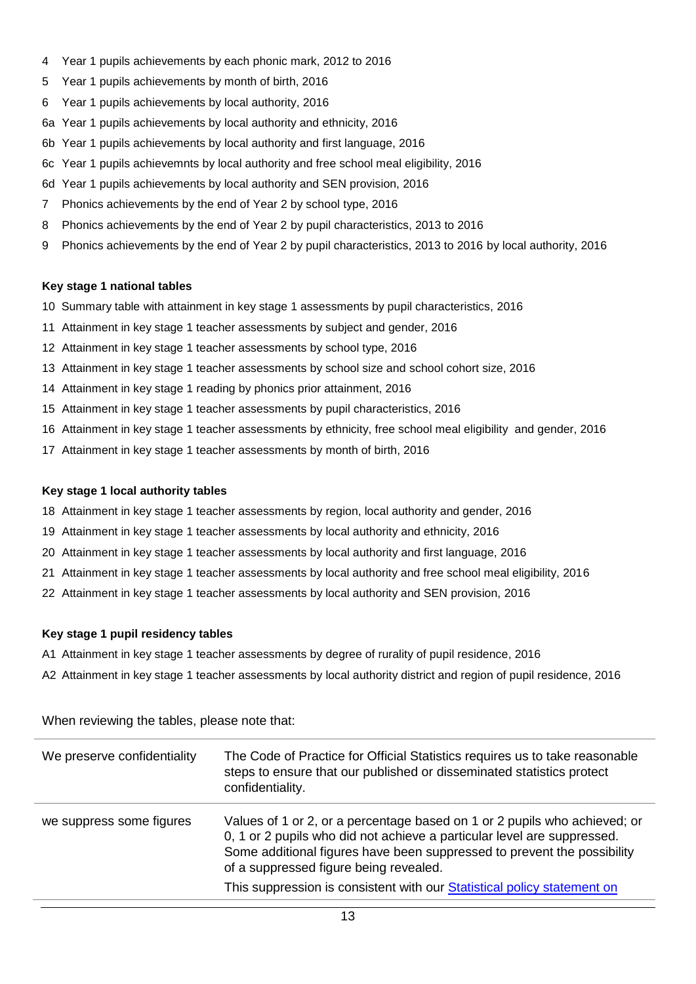- 4 Year 1 pupils achievements by each phonic mark, 2012 to 2016
- 5 Year 1 pupils achievements by month of birth, 2016
- 6 Year 1 pupils achievements by local authority, 2016
- 6a Year 1 pupils achievements by local authority and ethnicity, 2016
- 6b Year 1 pupils achievements by local authority and first language, 2016
- 6c Year 1 pupils achievemnts by local authority and free school meal eligibility, 2016
- 6d Year 1 pupils achievements by local authority and SEN provision, 2016
- 7 Phonics achievements by the end of Year 2 by school type, 2016
- 8 Phonics achievements by the end of Year 2 by pupil characteristics, 2013 to 2016
- 9 Phonics achievements by the end of Year 2 by pupil characteristics, 2013 to 2016 by local authority, 2016

### **Key stage 1 national tables**

- 10 Summary table with attainment in key stage 1 assessments by pupil characteristics, 2016
- 11 Attainment in key stage 1 teacher assessments by subject and gender, 2016
- 12 Attainment in key stage 1 teacher assessments by school type, 2016
- 13 Attainment in key stage 1 teacher assessments by school size and school cohort size, 2016
- 14 Attainment in key stage 1 reading by phonics prior attainment, 2016
- 15 Attainment in key stage 1 teacher assessments by pupil characteristics, 2016
- 16 Attainment in key stage 1 teacher assessments by ethnicity, free school meal eligibility and gender, 2016
- 17 Attainment in key stage 1 teacher assessments by month of birth, 2016

### **Key stage 1 local authority tables**

- 18 Attainment in key stage 1 teacher assessments by region, local authority and gender, 2016
- 19 Attainment in key stage 1 teacher assessments by local authority and ethnicity, 2016
- 20 Attainment in key stage 1 teacher assessments by local authority and first language, 2016
- 21 Attainment in key stage 1 teacher assessments by local authority and free school meal eligibility, 2016
- 22 Attainment in key stage 1 teacher assessments by local authority and SEN provision, 2016

### **Key stage 1 pupil residency tables**

- A1 Attainment in key stage 1 teacher assessments by degree of rurality of pupil residence, 2016
- A2 Attainment in key stage 1 teacher assessments by local authority district and region of pupil residence, 2016

When reviewing the tables, please note that:

| We preserve confidentiality | The Code of Practice for Official Statistics requires us to take reasonable<br>steps to ensure that our published or disseminated statistics protect<br>confidentiality.                                                                                                                                                                             |
|-----------------------------|------------------------------------------------------------------------------------------------------------------------------------------------------------------------------------------------------------------------------------------------------------------------------------------------------------------------------------------------------|
| we suppress some figures    | Values of 1 or 2, or a percentage based on 1 or 2 pupils who achieved; or<br>0, 1 or 2 pupils who did not achieve a particular level are suppressed.<br>Some additional figures have been suppressed to prevent the possibility<br>of a suppressed figure being revealed.<br>This suppression is consistent with our Statistical policy statement on |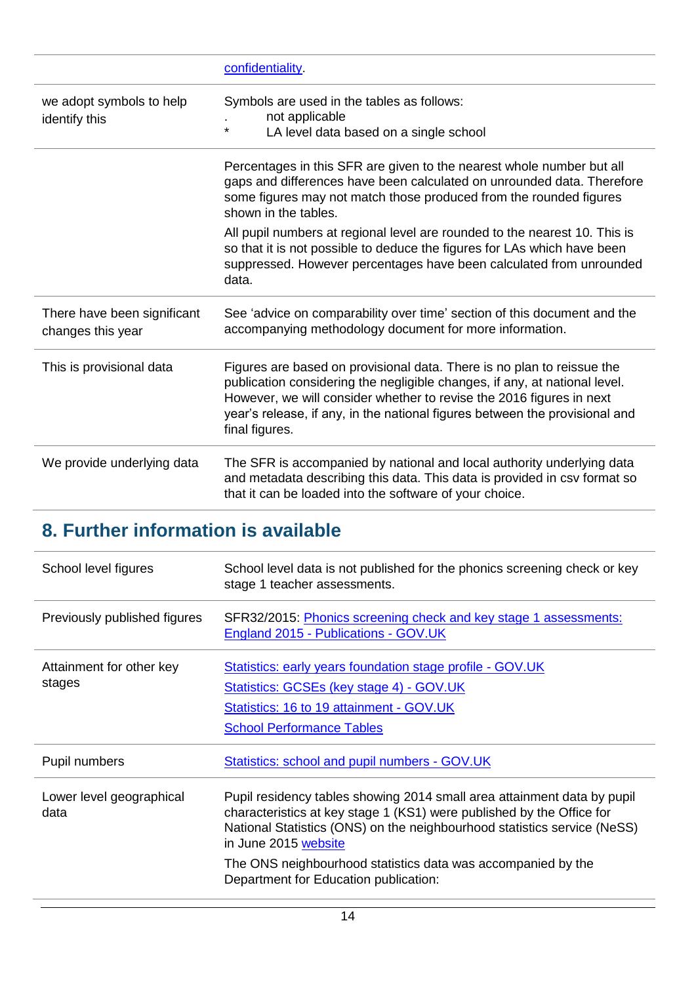|                                                  | confidentiality.                                                                                                                                                                                                                                                                                                              |
|--------------------------------------------------|-------------------------------------------------------------------------------------------------------------------------------------------------------------------------------------------------------------------------------------------------------------------------------------------------------------------------------|
| we adopt symbols to help<br>identify this        | Symbols are used in the tables as follows:<br>not applicable<br>$\star$<br>LA level data based on a single school                                                                                                                                                                                                             |
|                                                  | Percentages in this SFR are given to the nearest whole number but all<br>gaps and differences have been calculated on unrounded data. Therefore<br>some figures may not match those produced from the rounded figures<br>shown in the tables.                                                                                 |
|                                                  | All pupil numbers at regional level are rounded to the nearest 10. This is<br>so that it is not possible to deduce the figures for LAs which have been<br>suppressed. However percentages have been calculated from unrounded<br>data.                                                                                        |
| There have been significant<br>changes this year | See 'advice on comparability over time' section of this document and the<br>accompanying methodology document for more information.                                                                                                                                                                                           |
| This is provisional data                         | Figures are based on provisional data. There is no plan to reissue the<br>publication considering the negligible changes, if any, at national level.<br>However, we will consider whether to revise the 2016 figures in next<br>year's release, if any, in the national figures between the provisional and<br>final figures. |
| We provide underlying data                       | The SFR is accompanied by national and local authority underlying data<br>and metadata describing this data. This data is provided in csv format so<br>that it can be loaded into the software of your choice.                                                                                                                |

# <span id="page-13-0"></span>**8. Further information is available**

| School level figures               | School level data is not published for the phonics screening check or key<br>stage 1 teacher assessments.                                                                                                                                                                                                                                                     |
|------------------------------------|---------------------------------------------------------------------------------------------------------------------------------------------------------------------------------------------------------------------------------------------------------------------------------------------------------------------------------------------------------------|
| Previously published figures       | SFR32/2015: Phonics screening check and key stage 1 assessments:<br>England 2015 - Publications - GOV.UK                                                                                                                                                                                                                                                      |
| Attainment for other key<br>stages | Statistics: early years foundation stage profile - GOV.UK<br>Statistics: GCSEs (key stage 4) - GOV.UK<br>Statistics: 16 to 19 attainment - GOV.UK<br><b>School Performance Tables</b>                                                                                                                                                                         |
| Pupil numbers                      | Statistics: school and pupil numbers - GOV.UK                                                                                                                                                                                                                                                                                                                 |
| Lower level geographical<br>data   | Pupil residency tables showing 2014 small area attainment data by pupil<br>characteristics at key stage 1 (KS1) were published by the Office for<br>National Statistics (ONS) on the neighbourhood statistics service (NeSS)<br>in June 2015 website<br>The ONS neighbourhood statistics data was accompanied by the<br>Department for Education publication: |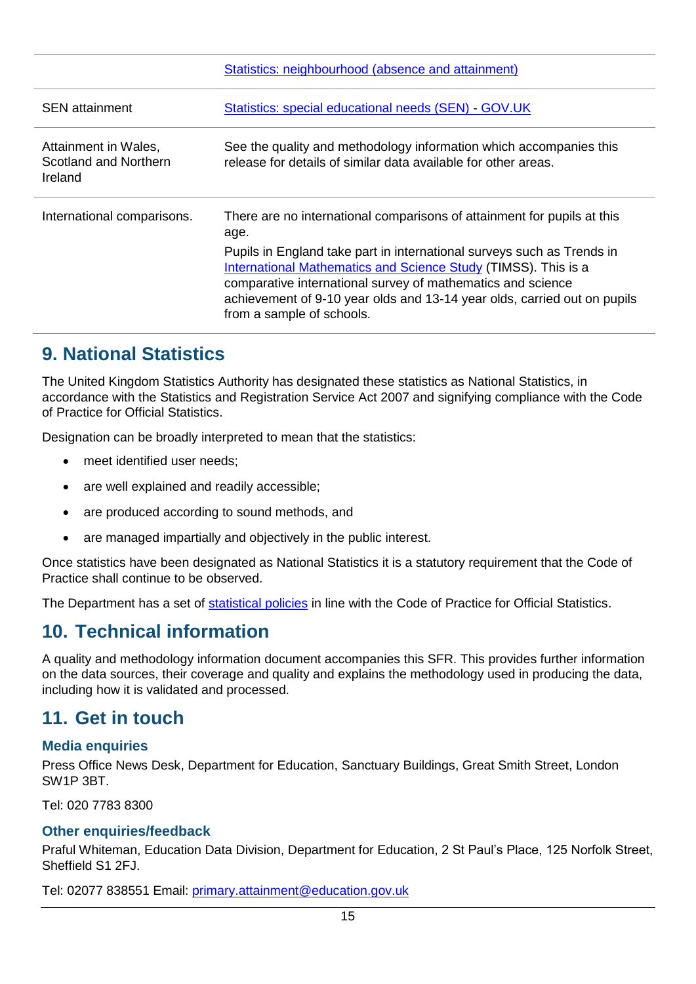|                                                          | Statistics: neighbourhood (absence and attainment)                                                                                                                                                                                                                                                                                                                                                         |
|----------------------------------------------------------|------------------------------------------------------------------------------------------------------------------------------------------------------------------------------------------------------------------------------------------------------------------------------------------------------------------------------------------------------------------------------------------------------------|
| <b>SEN</b> attainment                                    | Statistics: special educational needs (SEN) - GOV.UK                                                                                                                                                                                                                                                                                                                                                       |
| Attainment in Wales,<br>Scotland and Northern<br>Ireland | See the quality and methodology information which accompanies this<br>release for details of similar data available for other areas.                                                                                                                                                                                                                                                                       |
| International comparisons.                               | There are no international comparisons of attainment for pupils at this<br>age.<br>Pupils in England take part in international surveys such as Trends in<br><b>International Mathematics and Science Study (TIMSS). This is a</b><br>comparative international survey of mathematics and science<br>achievement of 9-10 year olds and 13-14 year olds, carried out on pupils<br>from a sample of schools. |

# <span id="page-14-0"></span>**9. National Statistics**

The United Kingdom Statistics Authority has designated these statistics as National Statistics, in accordance with the Statistics and Registration Service Act 2007 and signifying compliance with the Code of Practice for Official Statistics.

Designation can be broadly interpreted to mean that the statistics:

- meet identified user needs;
- are well explained and readily accessible;
- are produced according to sound methods, and
- are managed impartially and objectively in the public interest.

Once statistics have been designated as National Statistics it is a statutory requirement that the Code of Practice shall continue to be observed.

The Department has a set of [statistical policies](http://www.gov.uk/government/publications/standards-for-official-statistics-published-by-the-department-for-education) in line with the Code of Practice for Official Statistics.

# <span id="page-14-1"></span>**10. Technical information**

A quality and methodology information document accompanies this SFR. This provides further information on the data sources, their coverage and quality and explains the methodology used in producing the data, including how it is validated and processed.

# <span id="page-14-2"></span>**11. Get in touch**

## <span id="page-14-3"></span>**Media enquiries**

Press Office News Desk, Department for Education, Sanctuary Buildings, Great Smith Street, London SW1P 3BT.

Tel: 020 7783 8300

## <span id="page-14-4"></span>**Other enquiries/feedback**

Praful Whiteman, Education Data Division, Department for Education, 2 St Paul's Place, 125 Norfolk Street, Sheffield S1 2FJ.

Tel: 02077 838551 Email: [primary.attainment@education.gov.uk](mailto:Primary.attainment@education.gov.uk)